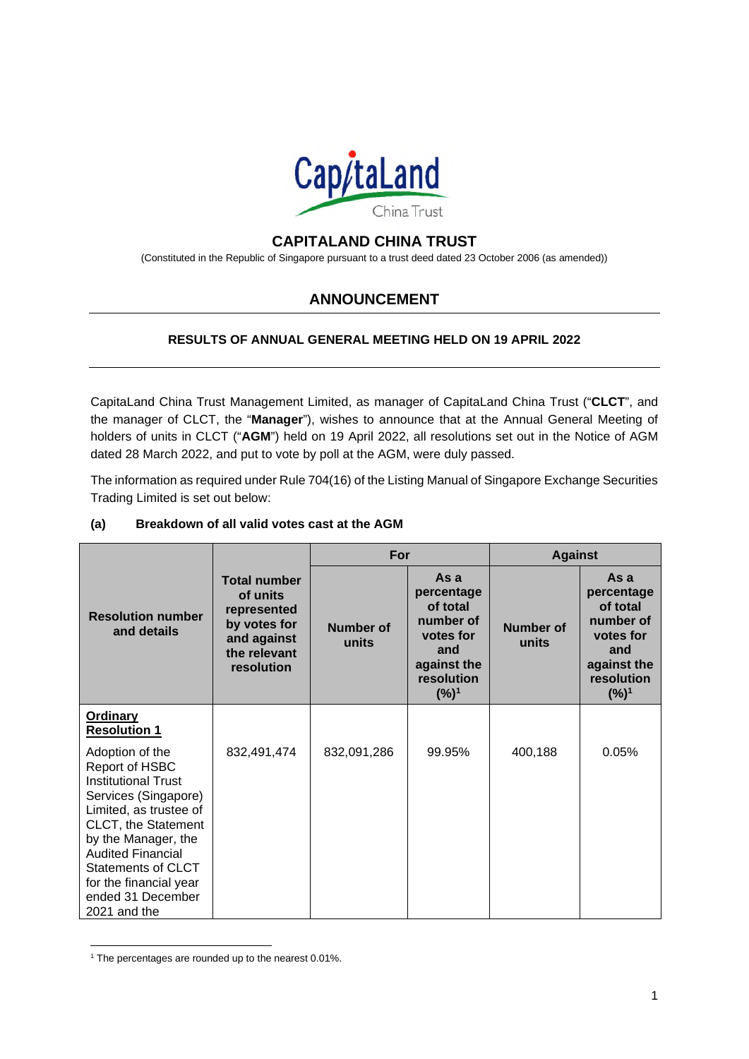

# **CAPITALAND CHINA TRUST**

(Constituted in the Republic of Singapore pursuant to a trust deed dated 23 October 2006 (as amended))

# **ANNOUNCEMENT**

#### **RESULTS OF ANNUAL GENERAL MEETING HELD ON 19 APRIL 2022**

CapitaLand China Trust Management Limited, as manager of CapitaLand China Trust ("**CLCT**", and the manager of CLCT, the "**Manager**"), wishes to announce that at the Annual General Meeting of holders of units in CLCT ("**AGM**") held on 19 April 2022, all resolutions set out in the Notice of AGM dated 28 March 2022, and put to vote by poll at the AGM, were duly passed.

The information as required under Rule 704(16) of the Listing Manual of Singapore Exchange Securities Trading Limited is set out below:

|                                                                                                                                                                                                                                                                                         |                                                                                                             | For                |                                                                                                         | <b>Against</b>            |                                                                                                                  |
|-----------------------------------------------------------------------------------------------------------------------------------------------------------------------------------------------------------------------------------------------------------------------------------------|-------------------------------------------------------------------------------------------------------------|--------------------|---------------------------------------------------------------------------------------------------------|---------------------------|------------------------------------------------------------------------------------------------------------------|
| <b>Resolution number</b><br>and details                                                                                                                                                                                                                                                 | <b>Total number</b><br>of units<br>represented<br>by votes for<br>and against<br>the relevant<br>resolution | Number of<br>units | As a<br>percentage<br>of total<br>number of<br>votes for<br>and<br>against the<br>resolution<br>$(%)^1$ | <b>Number of</b><br>units | As a<br>percentage<br>of total<br>number of<br>votes for<br>and<br>against the<br>resolution<br>(%) <sup>1</sup> |
| <b>Ordinary</b><br><b>Resolution 1</b>                                                                                                                                                                                                                                                  |                                                                                                             |                    |                                                                                                         |                           |                                                                                                                  |
| Adoption of the<br>Report of HSBC<br><b>Institutional Trust</b><br>Services (Singapore)<br>Limited, as trustee of<br>CLCT, the Statement<br>by the Manager, the<br><b>Audited Financial</b><br><b>Statements of CLCT</b><br>for the financial year<br>ended 31 December<br>2021 and the | 832,491,474                                                                                                 | 832,091,286        | 99.95%                                                                                                  | 400,188                   | 0.05%                                                                                                            |

## **(a) Breakdown of all valid votes cast at the AGM**

<sup>&</sup>lt;sup>1</sup> The percentages are rounded up to the nearest 0.01%.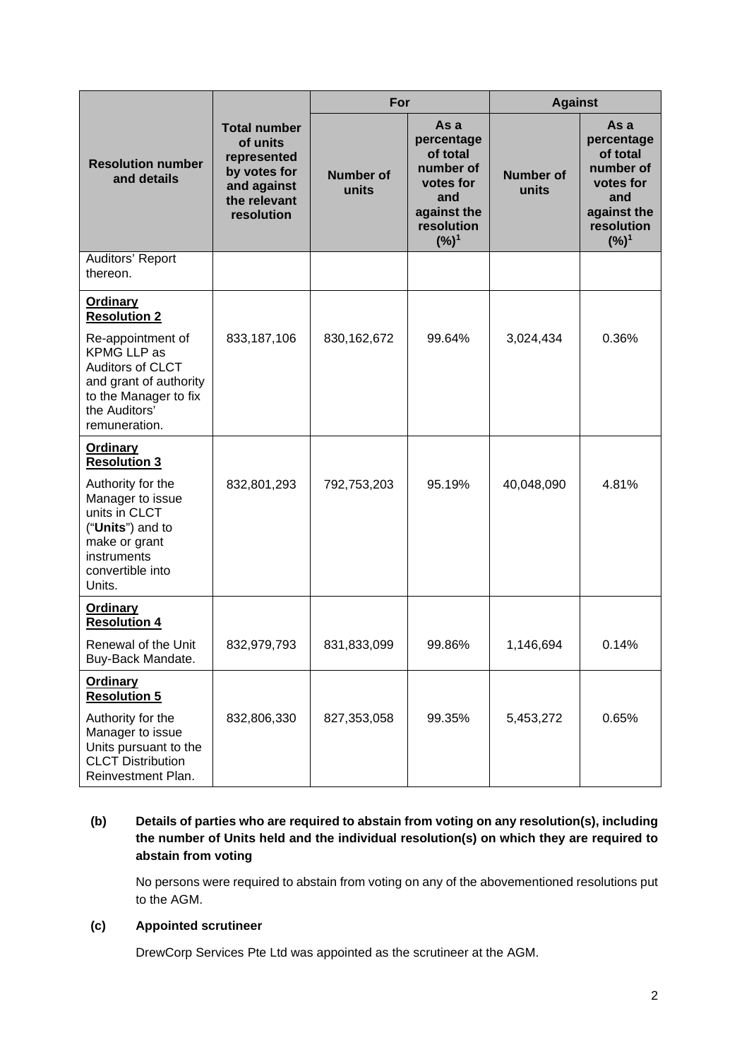|                                                                                                                                                                                            | <b>Total number</b><br>of units<br>represented<br>by votes for<br>and against<br>the relevant<br>resolution | For                |                                                                                                                  | <b>Against</b>            |                                                                                                         |
|--------------------------------------------------------------------------------------------------------------------------------------------------------------------------------------------|-------------------------------------------------------------------------------------------------------------|--------------------|------------------------------------------------------------------------------------------------------------------|---------------------------|---------------------------------------------------------------------------------------------------------|
| <b>Resolution number</b><br>and details                                                                                                                                                    |                                                                                                             | Number of<br>units | As a<br>percentage<br>of total<br>number of<br>votes for<br>and<br>against the<br>resolution<br>(%) <sup>1</sup> | <b>Number of</b><br>units | As a<br>percentage<br>of total<br>number of<br>votes for<br>and<br>against the<br>resolution<br>$(%)^1$ |
| Auditors' Report<br>thereon.                                                                                                                                                               |                                                                                                             |                    |                                                                                                                  |                           |                                                                                                         |
| <b>Ordinary</b><br><b>Resolution 2</b><br>Re-appointment of<br><b>KPMG LLP as</b><br>Auditors of CLCT<br>and grant of authority<br>to the Manager to fix<br>the Auditors'<br>remuneration. | 833,187,106                                                                                                 | 830, 162, 672      | 99.64%                                                                                                           | 3,024,434                 | 0.36%                                                                                                   |
| <b>Ordinary</b><br><b>Resolution 3</b><br>Authority for the<br>Manager to issue<br>units in CLCT<br>("Units") and to<br>make or grant<br>instruments<br>convertible into<br>Units.         | 832,801,293                                                                                                 | 792,753,203        | 95.19%                                                                                                           | 40,048,090                | 4.81%                                                                                                   |
| <b>Ordinary</b><br><b>Resolution 4</b><br>Renewal of the Unit<br>Buy-Back Mandate.                                                                                                         | 832,979,793                                                                                                 | 831,833,099        | 99.86%                                                                                                           | 1,146,694                 | 0.14%                                                                                                   |
| <b>Ordinary</b><br><b>Resolution 5</b><br>Authority for the<br>Manager to issue<br>Units pursuant to the<br><b>CLCT Distribution</b><br>Reinvestment Plan.                                 | 832,806,330                                                                                                 | 827,353,058        | 99.35%                                                                                                           | 5,453,272                 | 0.65%                                                                                                   |

## **(b) Details of parties who are required to abstain from voting on any resolution(s), including the number of Units held and the individual resolution(s) on which they are required to abstain from voting**

No persons were required to abstain from voting on any of the abovementioned resolutions put to the AGM.

#### **(c) Appointed scrutineer**

DrewCorp Services Pte Ltd was appointed as the scrutineer at the AGM.